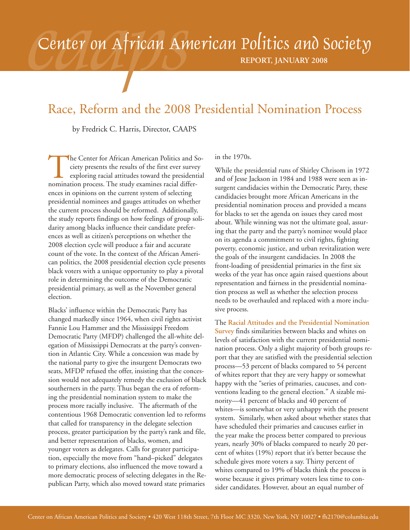# Center on African American Politics and Society

**REPORT, JANUARY 2008**

# Race, Reform and the 2008 Presidential Nomination Process

by Fredrick C. Harris, Director, CAAPS

The Center for African American Politics and Society presents the results of the first ever survey exploring racial attitudes toward the presidential nomination process. The study examines racial differciety presents the results of the first ever survey exploring racial attitudes toward the presidential nomination process. The study examines racial differences in opinions on the current system of selecting presidential nominees and gauges attitudes on whether the current process should be reformed. Additionally, the study reports findings on how feelings of group solidarity among blacks influence their candidate preferences as well as citizen's perceptions on whether the 2008 election cycle will produce a fair and accurate count of the vote. In the context of the African American politics, the 2008 presidential election cycle presents black voters with a unique opportunity to play a pivotal role in determining the outcome of the Democratic presidential primary, as well as the November general election.

Blacks' influence within the Democratic Party has changed markedly since 1964, when civil rights activist Fannie Lou Hammer and the Mississippi Freedom Democratic Party (MFDP) challenged the all-white delegation of Mississippi Democrats at the party's convention in Atlantic City. While a concession was made by the national party to give the insurgent Democrats two seats, MFDP refused the offer, insisting that the concession would not adequately remedy the exclusion of black southerners in the party. Thus began the era of reforming the presidential nomination system to make the process more racially inclusive. The aftermath of the contentious 1968 Democratic convention led to reforms that called for transparency in the delegate selection process, greater participation by the party's rank and file, and better representation of blacks, women, and younger voters as delegates. Calls for greater participation, especially the move from "hand–picked" delegates to primary elections, also influenced the move toward a more democratic process of selecting delegates in the Republican Party, which also moved toward state primaries

in the 1970s.

While the presidential runs of Shirley Chrisom in 1972 and of Jesse Jackson in 1984 and 1988 were seen as insurgent candidacies within the Democratic Party, these candidacies brought more African Americans in the presidential nomination process and provided a means for blacks to set the agenda on issues they cared most about. While winning was not the ultimate goal, assuring that the party and the party's nominee would place on its agenda a commitment to civil rights, fighting poverty, economic justice, and urban revitalization were the goals of the insurgent candidacies. In 2008 the front-loading of presidential primaries in the first six weeks of the year has once again raised questions about representation and fairness in the presidential nomination process as well as whether the selection process needs to be overhauled and replaced with a more inclusive process.

The **Racial Attitudes and the Presidential Nomination Survey** finds similarities between blacks and whites on levels of satisfaction with the current presidential nomination process. Only a slight majority of both groups report that they are satisfied with the presidential selection process—53 percent of blacks compared to 54 percent of whites report that they are very happy or somewhat happy with the "series of primaries, caucuses, and conventions leading to the general election." A sizable minority—41 percent of blacks and 40 percent of whites—is somewhat or very unhappy with the present system. Similarly, when asked about whether states that have scheduled their primaries and caucuses earlier in the year make the process better compared to previous years, nearly 30% of blacks compared to nearly 20 percent of whites (19%) report that it's better because the schedule gives more voters a say. Thirty percent of whites compared to 19% of blacks think the process is worse because it gives primary voters less time to consider candidates. However, about an equal number of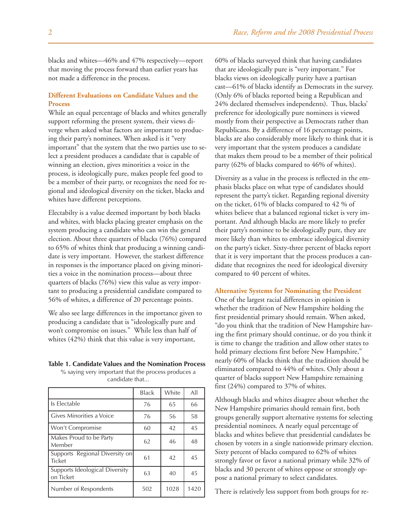blacks and whites—46% and 47% respectively—report that moving the process forward than earlier years has not made a difference in the process.

# **Different Evaluations on Candidate Values and the Process**

While an equal percentage of blacks and whites generally support reforming the present system, their views diverge when asked what factors are important to producing their party's nominees. When asked is it "very important" that the system that the two parties use to select a president produces a candidate that is capable of winning an election, gives minorities a voice in the process, is ideologically pure, makes people feel good to be a member of their party, or recognizes the need for regional and ideological diversity on the ticket, blacks and whites have different perceptions.

Electabilty is a value deemed important by both blacks and whites, with blacks placing greater emphasis on the system producing a candidate who can win the general election. About three quarters of blacks (76%) compared to 65% of whites think that producing a winning candidate is very important. However, the starkest difference in responses is the importance placed on giving minorities a voice in the nomination process—about three quarters of blacks (76%) view this value as very important to producing a presidential candidate compared to 56% of whites, a difference of 20 percentage points.

We also see large differences in the importance given to producing a candidate that is "ideologically pure and won't compromise on issues." While less than half of whites (42%) think that this value is very important,

### **Table 1. Candidate Values and the Nomination Process**

% saying very important that the process produces a candidate that...

|                                             | <b>Black</b> | White | All  |
|---------------------------------------------|--------------|-------|------|
| Is Electable                                | 76           | 65    | 66   |
| <b>Cives Minorities a Voice</b>             | 76           | 56    | 58   |
| Won't Compromise                            | 60           | 42    | 45   |
| Makes Proud to be Party<br>l Member         | 62           | 46    | 48   |
| Supports Regional Diversity on<br>Ticket    | 61           | 42    | 45   |
| Supports Ideological Diversity<br>on Ticket | 63           | 40    | 45   |
| Number of Respondents                       | 502          | 1028  | 1420 |

60% of blacks surveyed think that having candidates that are ideologically pure is "very important." For blacks views on ideologically purity have a partisan cast—61% of blacks identify as Democrats in the survey. (Only 6% of blacks reported being a Republican and 24% declared themselves independents). Thus, blacks' preference for ideologically pure nominees is viewed mostly from their perspective as Democrats rather than Republicans. By a difference of 16 percentage points, blacks are also considerably more likely to think that it is very important that the system produces a candidate that makes them proud to be a member of their political party (62% of blacks compared to 46% of whites).

Diversity as a value in the process is reflected in the emphasis blacks place on what type of candidates should represent the party's ticket. Regarding regional diversity on the ticket, 61% of blacks compared to 42 % of whites believe that a balanced regional ticket is very important. And although blacks are more likely to prefer their party's nominee to be ideologically pure, they are more likely than whites to embrace ideological diversity on the party's ticket. Sixty-three percent of blacks report that it is very important that the process produces a candidate that recognizes the need for ideological diversity compared to 40 percent of whites.

### **Alternative Systems for Nominating the President**

One of the largest racial differences in opinion is whether the tradition of New Hampshire holding the first presidential primary should remain. When asked, "do you think that the tradition of New Hampshire having the first primary should continue, or do you think it is time to change the tradition and allow other states to hold primary elections first before New Hampshire," nearly 60% of blacks think that the tradition should be eliminated compared to 44% of whites. Only about a quarter of blacks support New Hampshire remaining first (24%) compared to 37% of whites.

Although blacks and whites disagree about whether the New Hampshire primaries should remain first, both groups generally support alternative systems for selecting presidential nominees. A nearly equal percentage of blacks and whites believe that presidential candidates be chosen by voters in a single nationwide primary election. Sixty percent of blacks compared to 62% of whites strongly favor or favor a national primary while 32% of blacks and 30 percent of whites oppose or strongly oppose a national primary to select candidates.

There is relatively less support from both groups for re-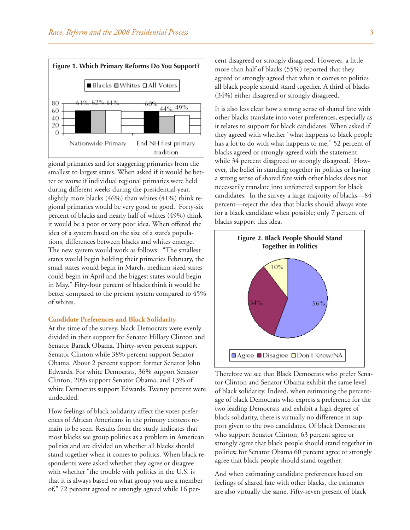

gional primaries and for staggering primaries from the smallest to largest states. When asked if it would be better or worse if individual regional primaries were held during different weeks during the presidential year, slightly more blacks (46%) than whites (41%) think regional primaries would be very good or good. Forty-six percent of blacks and nearly half of whites (49%) think it would be a poor or very poor idea. When offered the idea of a system based on the size of a state's populations, differences between blacks and whites emerge. The new system would work as follows: "The smallest states would begin holding their primaries February, the small states would begin in March, medium sized states could begin in April and the biggest states would begin in May." Fifty-four percent of blacks think it would be better compared to the present system compared to 45% of whites.

### **Candidate Preferences and Black Solidarity**

At the time of the survey, black Democrats were evenly divided in their support for Senator Hillary Clinton and Senator Barack Obama. Thirty-seven percent support Senator Clinton while 38% percent support Senator Obama. About 2 percent support former Senator John Edwards. For white Democrats, 36% support Senator Clinton, 20% support Senator Obama, and 13% of white Democrats support Edwards. Twenty percent were undecided.

How feelings of black solidarity affect the voter preferences of African Americans in the primary contests remain to be seen. Results from the study indicates that most blacks see group politics as a problem in American politics and are divided on whether all blacks should stand together when it comes to politics. When black respondents were asked whether they agree or disagree with whether "the trouble with politics in the U.S. is that it is always based on what group you are a member of," 72 percent agreed or strongly agreed while 16 percent disagreed or strongly disagreed. However, a little more than half of blacks (55%) reported that they agreed or strongly agreed that when it comes to politics all black people should stand together. A third of blacks (34%) either disagreed or strongly disagreed.

It is also less clear how a strong sense of shared fate with other blacks translate into voter preferences, especially as it relates to support for black candidates. When asked if they agreed with whether "what happens to black people has a lot to do with what happens to me," 52 percent of blacks agreed or strongly agreed with the statement while 34 percent disagreed or strongly disagreed. However, the belief in standing together in politics or having a strong sense of shared fate with other blacks does not necessarily translate into unfettered support for black candidates. In the survey a large majority of blacks—84 percent—reject the idea that blacks should always vote for a black candidate when possible; only 7 percent of blacks support this idea.



Therefore we see that Black Democrats who prefer Senator Clinton and Senator Obama exhibit the same level of black solidarity. Indeed, when estimating the percentage of black Democrats who express a preference for the two leading Democrats and exhibit a high degree of black solidarity, there is virtually no difference in support given to the two candidates. Of black Democrats who support Senator Clinton, 63 percent agree or strongly agree that black people should stand together in politics; for Senator Obama 60 percent agree or strongly agree that black people should stand together.

And when estimating candidate preferences based on feelings of shared fate with other blacks, the estimates are also virtually the same. Fifty-seven present of black